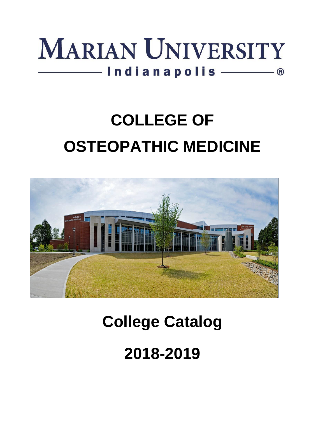

# **COLLEGE OF OSTEOPATHIC MEDICINE**



# **College Catalog**

## **2018-2019**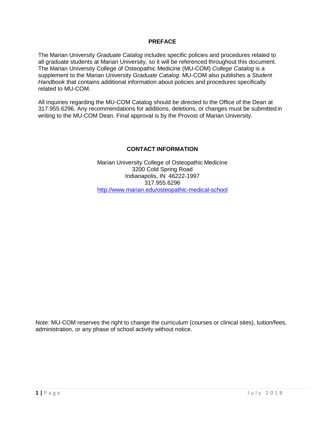#### **PREFACE**

The Marian University *Graduate Catalog* includes specific policies and procedures related to all graduate students at Marian University, so it will be referenced throughout this document. The Marian University College of Osteopathic Medicine (MU-COM) *College Catalog* is a supplement to the Marian University *Graduate Catalog.* MU-COM also publishes a *Student Handbook* that contains additional information about policies and procedures specifically related to MU-COM.

All inquiries regarding the MU-COM Catalog should be directed to the Office of the Dean at 317.955.6296. Any recommendations for additions, deletions, or changes must be submitted in writing to the MU-COM Dean. Final approval is by the Provost of Marian University.

#### **CONTACT INFORMATION**

Marian University College of Osteopathic Medicine 3200 Cold Spring Road Indianapolis, IN 46222-1997 317.955.6296 <http://www.marian.edu/osteopathic-medical-school>

Note: MU-COM reserves the right to change the curriculum (courses or clinical sites), tuition/fees, administration, or any phase of school activity without notice.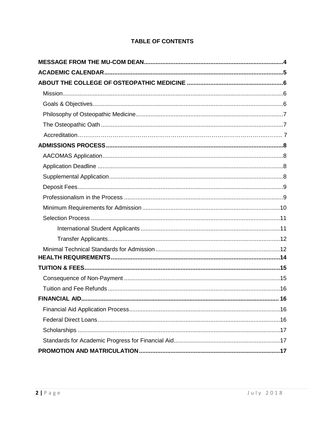#### **TABLE OF CONTENTS**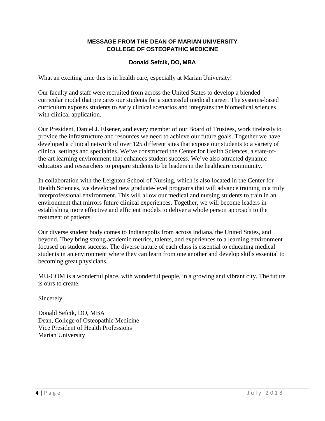#### **MESSAGE FROM THE DEAN OF MARIAN UNIVERSITY COLLEGE OF OSTEOPATHIC MEDICINE**

#### **Donald Sefcik, DO, MBA**

What an exciting time this is in health care, especially at Marian University!

Our faculty and staff were recruited from across the United States to develop a blended curricular model that prepares our students for a successful medical career. The systems-based curriculum exposes students to early clinical scenarios and integrates the biomedical sciences with clinical application.

Our President, Daniel J. Elsener, and every member of our Board of Trustees, work tirelessly to provide the infrastructure and resources we need to achieve our future goals. Together we have developed a clinical network of over 125 different sites that expose our students to a variety of clinical settings and specialties. We've constructed the Center for Health Sciences, a state-ofthe-art learning environment that enhances student success. We've also attracted dynamic educators and researchers to prepare students to be leaders in the healthcare community.

In collaboration with the Leighton School of Nursing, which is also located in the Center for Health Sciences, we developed new graduate-level programs that will advance training in a truly interprofessional environment. This will allow our medical and nursing students to train in an environment that mirrors future clinical experiences. Together, we will become leaders in establishing more effective and efficient models to deliver a whole person approach to the treatment of patients.

Our diverse student body comes to Indianapolis from across Indiana, the United States, and beyond. They bring strong academic metrics, talents, and experiences to a learning environment focused on student success. The diverse nature of each class is essential to educating medical students in an environment where they can learn from one another and develop skills essential to becoming great physicians.

MU-COM is a wonderful place, with wonderful people, in a growing and vibrant city. The future is ours to create.

Sincerely,

Donald Sefcik, DO, MBA Dean, College of Osteopathic Medicine Vice President of Health Professions Marian University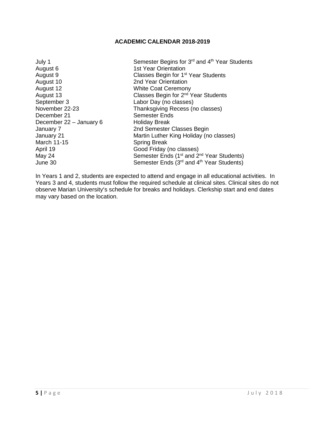#### **ACADEMIC CALENDAR 2018-2019**

- August 6 1st Year Orientation August 12 White Coat Ceremony September 3 Labor Day (no classes)<br>November 22-23 Thanksqiving Recess (n December 21 Semester Ends December 22 – January 6 Holiday Break January 7 2nd Semester Classes Begin April 19 **Good Friday (no classes)**
- <span id="page-5-0"></span>July 1 Semester Begins for 3<sup>rd</sup> and 4<sup>th</sup> Year Students August 9 Classes Begin for 1<sup>st</sup> Year Students<br>
August 10 2nd Year Orientation 2nd Year Orientation August 13 Classes Begin for 2<sup>nd</sup> Year Students Thanksgiving Recess (no classes) January 21 **Martin Luther King Holiday (no classes)**<br>March 11-15 **Martin Luther King Holiday** (no classes) Spring Break May 24 **Semester Ends (1<sup>st</sup> and 2<sup>nd</sup> Year Students)**<br>June 30 **Semester Ends (3<sup>rd</sup> and 4<sup>th</sup> Year Students)** Semester Ends ( $3<sup>rd</sup>$  and  $4<sup>th</sup>$  Year Students)

In Years 1 and 2, students are expected to attend and engage in all educational activities. In Years 3 and 4, students must follow the required schedule at clinical sites. Clinical sites do not observe Marian University's schedule for breaks and holidays. Clerkship start and end dates may vary based on the location.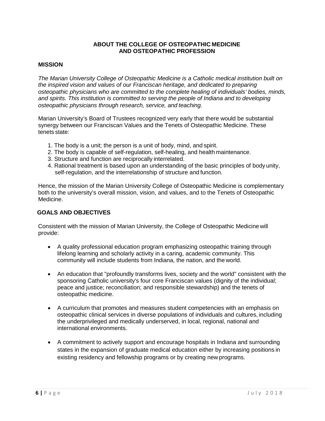#### **ABOUT THE COLLEGE OF OSTEOPATHIC MEDICINE AND OSTEOPATHIC PROFESSION**

#### <span id="page-6-0"></span>**MISSION**

*The Marian University College of Osteopathic Medicine is a Catholic medical institution built on the inspired vision and values of our Franciscan heritage, and dedicated to preparing osteopathic physicians who are committed to the complete healing of individuals' bodies, minds, and spirits. This institution is committed to serving the people of Indiana and to developing osteopathic physicians through research, service, and teaching.*

Marian University's Board of Trustees recognized very early that there would be substantial synergy between our Franciscan Values and the Tenets of Osteopathic Medicine. These tenets state:

- 1. The body is a unit; the person is a unit of body, mind, and spirit.
- 2. The body is capable of self-regulation, self-healing, and health maintenance.
- 3. Structure and function are reciprocally interrelated.
- 4. Rational treatment is based upon an understanding of the basic principles of body unity, self-regulation, and the interrelationship of structure and function.

Hence, the mission of the Marian University College of Osteopathic Medicine is complementary both to the university's overall mission, vision, and values, and to the Tenets of Osteopathic Medicine.

#### **GOALS AND OBJECTIVES**

Consistent with the mission of Marian University, the College of Osteopathic Medicine will provide:

- A quality professional education program emphasizing osteopathic training through lifelong learning and scholarly activity in a caring, academic community. This community will include students from Indiana, the nation, and the world.
- An education that "profoundly transforms lives, society and the world" consistent with the sponsoring Catholic university's four core Franciscan values (dignity of the individual; peace and justice; reconciliation; and responsible stewardship) and the tenets of osteopathic medicine.
- A curriculum that promotes and measures student competencies with an emphasis on osteopathic clinical services in diverse populations of individuals and cultures, including the underprivileged and medically underserved, in local, regional, national and international environments.
- <span id="page-6-1"></span>• A commitment to actively support and encourage hospitals in Indiana and surrounding states in the expansion of graduate medical education either by increasing positions in existing residency and fellowship programs or by creating new programs.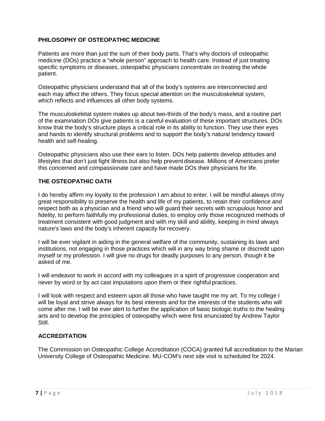#### **PHILOSOPHY OF OSTEOPATHIC MEDICINE**

Patients are more than just the sum of their body parts. That's why doctors of osteopathic medicine (DOs) practice a "whole person" approach to health care. Instead of just treating specific symptoms or diseases, osteopathic physicians concentrate on treating the whole patient.

Osteopathic physicians understand that all of the body's systems are interconnected and each may affect the others. They focus special attention on the musculoskeletal system, which reflects and influences all other body systems.

The musculoskeletal system makes up about two-thirds of the body's mass, and a routine part of the examination DOs give patients is a careful evaluation of these important structures. DOs know that the body's structure plays a critical role in its ability to function. They use their eyes and hands to identify structural problems and to support the body's natural tendency toward health and self-healing.

Osteopathic physicians also use their ears to listen. DOs help patients develop attitudes and lifestyles that don't just fight illness but also help prevent disease. Millions of Americans prefer this concerned and compassionate care and have made DOs their physicians for life.

#### **THE OSTEOPATHIC OATH**

I do hereby affirm my loyalty to the profession I am about to enter. I will be mindful always ofmy great responsibility to preserve the health and life of my patients, to retain their confidence and respect both as a physician and a friend who will guard their secrets with scrupulous honor and fidelity, to perform faithfully my professional duties, to employ only those recognized methods of treatment consistent with good judgment and with my skill and ability, keeping in mind always nature's laws and the body's inherent capacity for recovery.

I will be ever vigilant in aiding in the general welfare of the community, sustaining its laws and institutions, not engaging in those practices which will in any way bring shame or discredit upon myself or my profession. I will give no drugs for deadly purposes to any person, though it be asked of me.

I will endeavor to work in accord with my colleagues in a spirit of progressive cooperation and never by word or by act cast imputations upon them or their rightful practices.

I will look with respect and esteem upon all those who have taught me my art. To my college I will be loyal and strive always for its best interests and for the interests of the students who will come after me. I will be ever alert to further the application of basic biologic truths to the healing arts and to develop the principles of osteopathy which were first enunciated by Andrew Taylor Still.

#### <span id="page-7-0"></span>**ACCREDITATION**

The Commission on Osteopathic College Accreditation (COCA) granted full accreditation to the Marian University College of Osteopathic Medicine. MU-COM's next site visit is scheduled for 2024.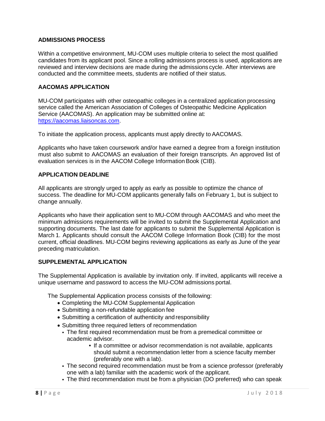#### **ADMISSIONS PROCESS**

Within a competitive environment, MU-COM uses multiple criteria to select the most qualified candidates from its applicant pool. Since a rolling admissions process is used, applications are reviewed and interview decisions are made during the admissions cycle. After interviews are conducted and the committee meets, students are notified of their status.

#### <span id="page-8-0"></span>**AACOMAS APPLICATION**

MU-COM participates with other osteopathic colleges in a centralized application processing service called the American Association of Colleges of Osteopathic Medicine Application Service (AACOMAS). An application may be submitted online at: [https://aacomas.liaisoncas.com.](https://aacomas.liaisoncas.com/)

To initiate the application process, applicants must apply directly to AACOMAS.

Applicants who have taken coursework and/or have earned a degree from a foreign institution must also submit to AACOMAS an evaluation of their foreign transcripts. An approved list of evaluation services is in the AACOM College Information Book (CIB).

#### <span id="page-8-1"></span>**APPLICATION DEADLINE**

All applicants are strongly urged to apply as early as possible to optimize the chance of success. The deadline for MU-COM applicants generally falls on February 1, but is subject to change annually.

Applicants who have their application sent to MU-COM through AACOMAS and who meet the minimum admissions requirements will be invited to submit the Supplemental Application and supporting documents. The last date for applicants to submit the Supplemental Application is March 1. Applicants should consult the AACOM College Information Book (CIB) for the most current, official deadlines. MU-COM begins reviewing applications as early as June of the year preceding matriculation.

#### <span id="page-8-2"></span>**SUPPLEMENTAL APPLICATION**

The Supplemental Application is available by invitation only. If invited, applicants will receive a unique username and password to access the MU-COM admissions portal.

The Supplemental Application process consists of the following:

- Completing the MU-COM Supplemental Application
- Submitting a non-refundable application fee
- Submitting a certification of authenticity and responsibility
- Submitting three required letters of recommendation
	- The first required recommendation must be from a premedical committee or academic advisor.
		- If a committee or advisor recommendation is not available, applicants should submit a recommendation letter from a science faculty member (preferably one with a lab).
	- The second required recommendation must be from a science professor (preferably one with a lab) familiar with the academic work of the applicant.
	- The third recommendation must be from a physician (DO preferred) who can speak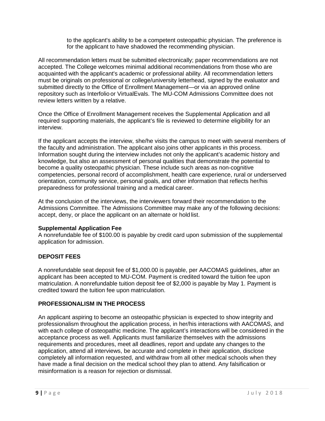to the applicant's ability to be a competent osteopathic physician. The preference is for the applicant to have shadowed the recommending physician.

All recommendation letters must be submitted electronically; paper recommendations are not accepted. The College welcomes minimal additional recommendations from those who are acquainted with the applicant's academic or professional ability. All recommendation letters must be originals on professional or college/university letterhead, signed by the evaluator and submitted directly to the Office of Enrollment Management—or via an approved online repository such as Interfolio or VirtualEvals. The MU-COM Admissions Committee does not review letters written by a relative.

Once the Office of Enrollment Management receives the Supplemental Application and all required supporting materials, the applicant's file is reviewed to determine eligibility for an interview.

If the applicant accepts the interview, she/he visits the campus to meet with several members of the faculty and administration. The applicant also joins other applicants in this process. Information sought during the interview includes not only the applicant's academic history and knowledge, but also an assessment of personal qualities that demonstrate the potential to become a quality osteopathic physician. These include such areas as non-cognitive competencies, personal record of accomplishment, health care experience, rural or underserved orientation, community service, personal goals, and other information that reflects her/his preparedness for professional training and a medical career.

At the conclusion of the interviews, the interviewers forward their recommendation to the Admissions Committee. The Admissions Committee may make any of the following decisions: accept, deny, or place the applicant on an alternate or hold list.

#### **Supplemental Application Fee**

A nonrefundable fee of \$100.00 is payable by credit card upon submission of the supplemental application for admission.

#### **DEPOSIT FEES**

A nonrefundable seat deposit fee of \$1,000.00 is payable, per AACOMAS guidelines, after an applicant has been accepted to MU-COM. Payment is credited toward the tuition fee upon matriculation. A nonrefundable tuition deposit fee of \$2,000 is payable by May 1. Payment is credited toward the tuition fee upon matriculation.

#### <span id="page-9-0"></span>**PROFESSIONALISM IN THE PROCESS**

An applicant aspiring to become an osteopathic physician is expected to show integrity and professionalism throughout the application process, in her/his interactions with AACOMAS, and with each college of osteopathic medicine. The applicant's interactions will be considered in the acceptance process as well. Applicants must familiarize themselves with the admissions requirements and procedures, meet all deadlines, report and update any changes to the application, attend all interviews, be accurate and complete in their application, disclose completely all information requested, and withdraw from all other medical schools when they have made a final decision on the medical school they plan to attend. Any falsification or misinformation is a reason for rejection or dismissal.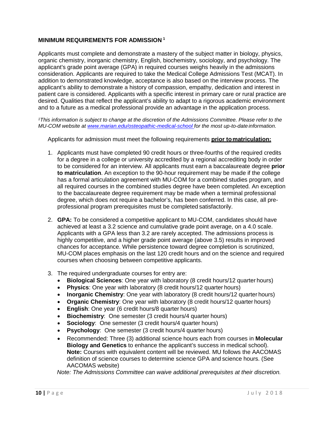#### **MINIMUM REQUIREMENTS FOR ADMISSION <sup>1</sup>**

Applicants must complete and demonstrate a mastery of the subject matter in biology, physics, organic chemistry, inorganic chemistry, English, biochemistry, sociology, and psychology. The applicant's grade point average (GPA) in required courses weighs heavily in the admissions consideration. Applicants are required to take the Medical College Admissions Test (MCAT). In addition to demonstrated knowledge, acceptance is also based on the interview process. The applicant's ability to demonstrate a history of compassion, empathy, dedication and interest in patient care is considered. Applicants with a specific interest in primary care or rural practice are desired. Qualities that reflect the applicant's ability to adapt to a rigorous academic environment and to a future as a medical professional provide an advantage in the application process.

*1This information is subject to change at the discretion of the Admissions Committee. Please refer to the MU-COM website at [www.marian.edu/osteopathic-medical-school f](http://www.marian.edu/osteopathic-medical-school)or the most up-to-date information.*

Applicants for admission must meet the following requirements **prior tomatriculation:**

- 1. Applicants must have completed 90 credit hours or three-fourths of the required credits for a degree in a college or university accredited by a regional accrediting body in order to be considered for an interview. All applicants must earn a baccalaureate degree **prior to matriculation**. An exception to the 90-hour requirement may be made if the college has a formal articulation agreement with MU-COM for a combined studies program, and all required courses in the combined studies degree have been completed. An exception to the baccalaureate degree requirement may be made when a terminal professional degree, which does not require a bachelor's, has been conferred. In this case, all preprofessional program prerequisites must be completed satisfactorily.
- 2. **GPA:** To be considered a competitive applicant to MU-COM, candidates should have achieved at least a 3.2 science and cumulative grade point average, on a 4.0 scale. Applicants with a GPA less than 3.2 are rarely accepted. The admissions process is highly competitive, and a higher grade point average (above 3.5) results in improved chances for acceptance. While persistence toward degree completion is scrutinized, MU-COM places emphasis on the last 120 credit hours and on the science and required courses when choosing between competitive applicants.
- 3. The required undergraduate courses for entry are:
	- **Biological Sciences**: One year with laboratory (8 credit hours/12 quarter hours)
	- **Physics**: One year with laboratory (8 credit hours/12 quarter hours)
	- **Inorganic Chemistry**: One year with laboratory (8 credit hours/12 quarter hours)
	- **Organic Chemistry**: One year with laboratory (8 credit hours/12 quarter hours)
	- **English**: One year (6 credit hours/8 quarter hours)
	- **Biochemistry**: One semester (3 credit hours/4 quarter hours)
	- **Sociology**: One semester (3 credit hours/4 quarter hours)
	- **Psychology**: One semester (3 credit hours/4 quarter hours)
	- Recommended: Three (3) additional science hours each from courses in **Molecular Biology and Genetics** to enhance the applicant's success in medical school). **Note:** Courses with equivalent content will be reviewed. MU follows the AACOMAS definition of science courses to determine science GPA and science hours. (See AACOMAS website)

*Note: The Admissions Committee can waive additional prerequisites at their discretion.*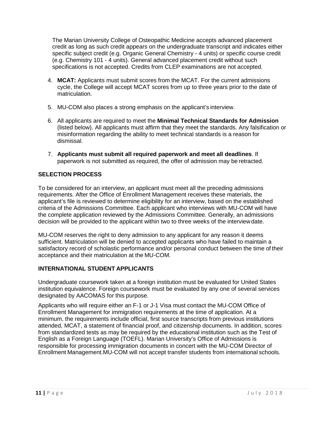The Marian University College of Osteopathic Medicine accepts advanced placement credit as long as such credit appears on the undergraduate transcript and indicates either specific subject credit (e.g. Organic General Chemistry - 4 units) or specific course credit (e.g. Chemistry 101 - 4 units). General advanced placement credit without such specifications is not accepted. Credits from CLEP examinations are not accepted.

- 4. **MCAT:** Applicants must submit scores from the MCAT. For the current admissions cycle, the College will accept MCAT scores from up to three years prior to the date of matriculation.
- 5. MU-COM also places a strong emphasis on the applicant's interview.
- 6. All applicants are required to meet the **Minimal Technical Standards for Admission**  (listed below). All applicants must affirm that they meet the standards. Any falsification or misinformation regarding the ability to meet technical standards is a reason for dismissal.
- 7. **Applicants must submit all required paperwork and meet all deadlines**. If paperwork is not submitted as required, the offer of admission may be retracted.

#### <span id="page-11-0"></span>**SELECTION PROCESS**

To be considered for an interview, an applicant must meet all the preceding admissions requirements. After the Office of Enrollment Management receives these materials, the applicant's file is reviewed to determine eligibility for an interview, based on the established criteria of the Admissions Committee. Each applicant who interviews with MU-COM will have the complete application reviewed by the Admissions Committee. Generally, an admissions decision will be provided to the applicant within two to three weeks of the interviewdate.

MU-COM reserves the right to deny admission to any applicant for any reason it deems sufficient. Matriculation will be denied to accepted applicants who have failed to maintain a satisfactory record of scholastic performance and/or personal conduct between the time of their acceptance and their matriculation at the MU-COM.

#### <span id="page-11-1"></span>**INTERNATIONAL STUDENT APPLICANTS**

Undergraduate coursework taken at a foreign institution must be evaluated for United States institution equivalence. Foreign coursework must be evaluated by any one of several services designated by AACOMAS for this purpose.

<span id="page-11-2"></span>Applicants who will require either an F-1 or J-1 Visa must contact the MU-COM Office of Enrollment Management for immigration requirements at the time of application. At a minimum, the requirements include official, first source transcripts from previous institutions attended, MCAT, a statement of financial proof, and citizenship documents. In addition, scores from standardized tests as may be required by the educational institution such as the Test of English as a Foreign Language (TOEFL). Marian University's Office of Admissions is responsible for processing immigration documents in concert with the MU-COM Director of Enrollment Management.MU-COM will not accept transfer students from international schools.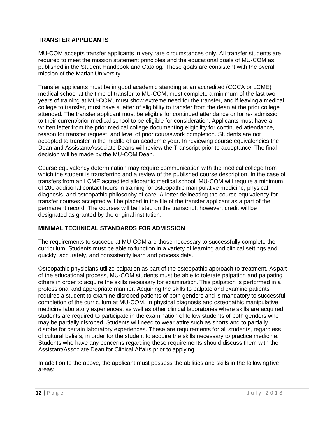#### **TRANSFER APPLICANTS**

MU-COM accepts transfer applicants in very rare circumstances only. All transfer students are required to meet the mission statement principles and the educational goals of MU-COM as published in the Student Handbook and Catalog. These goals are consistent with the overall mission of the Marian University.

Transfer applicants must be in good academic standing at an accredited (COCA or LCME) medical school at the time of transfer to MU-COM, must complete a minimum of the last two years of training at MU-COM, must show extreme need for the transfer, and if leaving a medical college to transfer, must have a letter of eligibility to transfer from the dean at the prior college attended. The transfer applicant must be eligible for continued attendance or for re- admission to their current/prior medical school to be eligible for consideration. Applicants must have a written letter from the prior medical college documenting eligibility for continued attendance, reason for transfer request, and level of prior coursework completion. Students are not accepted to transfer in the middle of an academic year. In reviewing course equivalencies the Dean and Assistant/Associate Deans will review the Transcript prior to acceptance. The final decision will be made by the MU-COM Dean.

Course equivalency determination may require communication with the medical college from which the student is transferring and a review of the published course description. In the case of transfers from an LCME accredited allopathic medical school, MU-COM will require a minimum of 200 additional contact hours in training for osteopathic manipulative medicine, physical diagnosis, and osteopathic philosophy of care. A letter delineating the course equivalency for transfer courses accepted will be placed in the file of the transfer applicant as a part of the permanent record. The courses will be listed on the transcript; however, credit will be designated as granted by the original institution.

#### <span id="page-12-0"></span>**MINIMAL TECHNICAL STANDARDS FOR ADMISSION**

The requirements to succeed at MU-COM are those necessary to successfully complete the curriculum. Students must be able to function in a variety of learning and clinical settings and quickly, accurately, and consistently learn and process data.

Osteopathic physicians utilize palpation as part of the osteopathic approach to treatment. Aspart of the educational process, MU-COM students must be able to tolerate palpation and palpating others in order to acquire the skills necessary for examination. This palpation is performed in a professional and appropriate manner. Acquiring the skills to palpate and examine patients requires a student to examine disrobed patients of both genders and is mandatory to successful completion of the curriculum at MU-COM. In physical diagnosis and osteopathic manipulative medicine laboratory experiences, as well as other clinical laboratories where skills are acquired, students are required to participate in the examination of fellow students of both genders who may be partially disrobed. Students will need to wear attire such as shorts and to partially disrobe for certain laboratory experiences. These are requirements for all students, regardless of cultural beliefs, in order for the student to acquire the skills necessary to practice medicine. Students who have any concerns regarding these requirements should discuss them with the Assistant/Associate Dean for Clinical Affairs prior to applying.

In addition to the above, the applicant must possess the abilities and skills in the followingfive areas: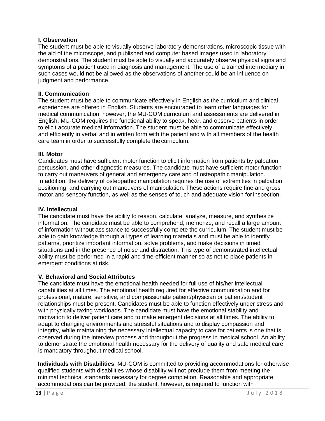#### **I. Observation**

The student must be able to visually observe laboratory demonstrations, microscopic tissue with the aid of the microscope, and published and computer based images used in laboratory demonstrations. The student must be able to visually and accurately observe physical signs and symptoms of a patient used in diagnosis and management. The use of a trained intermediary in such cases would not be allowed as the observations of another could be an influence on judgment and performance.

#### **II. Communication**

The student must be able to communicate effectively in English as the curriculum and clinical experiences are offered in English. Students are encouraged to learn other languages for medical communication; however, the MU-COM curriculum and assessments are delivered in English. MU-COM requires the functional ability to speak, hear, and observe patients in order to elicit accurate medical information. The student must be able to communicate effectively and efficiently in verbal and in written form with the patient and with all members of the health care team in order to successfully complete the curriculum.

#### **III. Motor**

Candidates must have sufficient motor function to elicit information from patients by palpation, percussion, and other diagnostic measures. The candidate must have sufficient motor function to carry out maneuvers of general and emergency care and of osteopathic manipulation. In addition, the delivery of osteopathic manipulation requires the use of extremities in palpation, positioning, and carrying out maneuvers of manipulation. These actions require fine and gross motor and sensory function, as well as the senses of touch and adequate vision for inspection.

#### **IV. Intellectual**

The candidate must have the ability to reason, calculate, analyze, measure, and synthesize information. The candidate must be able to comprehend, memorize, and recall a large amount of information without assistance to successfully complete the curriculum. The student must be able to gain knowledge through all types of learning materials and must be able to identify patterns, prioritize important information, solve problems, and make decisions in timed situations and in the presence of noise and distraction. This type of demonstrated intellectual ability must be performed in a rapid and time-efficient manner so as not to place patients in emergent conditions at risk.

#### **V. Behavioral and Social Attributes**

The candidate must have the emotional health needed for full use of his/her intellectual capabilities at all times. The emotional health required for effective communication and for professional, mature, sensitive, and compassionate patient/physician or patient/student relationships must be present. Candidates must be able to function effectively under stress and with physically taxing workloads. The candidate must have the emotional stability and motivation to deliver patient care and to make emergent decisions at all times. The ability to adapt to changing environments and stressful situations and to display compassion and integrity, while maintaining the necessary intellectual capacity to care for patients is one that is observed during the interview process and throughout the progress in medical school. An ability to demonstrate the emotional health necessary for the delivery of quality and safe medical care is mandatory throughout medical school.

**Individuals with Disabilities**: MU-COM is committed to providing accommodations for otherwise qualified students with disabilities whose disability will not preclude them from meeting the minimal technical standards necessary for degree completion. Reasonable and appropriate accommodations can be provided; the student, however, is required to function with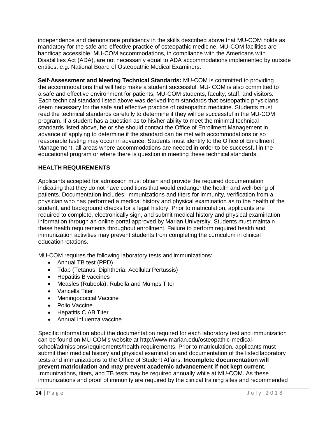independence and demonstrate proficiency in the skills described above that MU-COM holds as mandatory for the safe and effective practice of osteopathic medicine. MU-COM facilities are handicap accessible. MU-COM accommodations, in compliance with the Americans with Disabilities Act (ADA), are not necessarily equal to ADA accommodations implemented by outside entities, e.g. National Board of Osteopathic Medical Examiners.

**Self-Assessment and Meeting Technical Standards:** MU-COM is committed to providing the accommodations that will help make a student successful. MU- COM is also committed to a safe and effective environment for patients, MU-COM students, faculty, staff, and visitors. Each technical standard listed above was derived from standards that osteopathic physicians deem necessary for the safe and effective practice of osteopathic medicine. Students must read the technical standards carefully to determine if they will be successful in the MU-COM program. If a student has a question as to his/her ability to meet the minimal technical standards listed above, he or she should contact the Office of Enrollment Management in advance of applying to determine if the standard can be met with accommodations or so reasonable testing may occur in advance. Students must identify to the Office of Enrollment Management, all areas where accommodations are needed in order to be successful in the educational program or where there is question in meeting these technical standards.

#### <span id="page-14-0"></span>**HEALTH REQUIREMENTS**

Applicants accepted for admission must obtain and provide the required documentation indicating that they do not have conditions that would endanger the health and well-being of patients. Documentation includes: immunizations and titers for immunity, verification from a physician who has performed a medical history and physical examination as to the health of the student, and background checks for a legal history. Prior to matriculation, applicants are required to complete, electronically sign, and submit medical history and physical examination information through an online portal approved by Marian University. Students must maintain these health requirements throughout enrollment. Failure to perform required health and immunization activities may prevent students from completing the curriculum in clinical education rotations.

MU-COM requires the following laboratory tests and immunizations:

- Annual TB test (PPD)
- Tdap (Tetanus, Diphtheria, Acellular Pertussis)
- Hepatitis B vaccines
- Measles (Rubeola), Rubella and Mumps Titer
- Varicella Titer
- Meningococcal Vaccine
- Polio Vaccine
- Hepatitis C AB Titer
- Annual influenza vaccine

Specific information about the documentation required for each laboratory test and immunization can be found on MU-COM's website at http://www.marian.edu/osteopathic-medicalschool/admissions/requirements/health-requirements. Prior to matriculation, applicants must submit their medical history and physical examination and documentation of the listed laboratory tests and immunizations to the Office of Student Affairs. **Incomplete documentation will prevent matriculation and may prevent academic advancement if not kept current.**  Immunizations, titers, and TB tests may be required annually while at MU-COM. As these immunizations and proof of immunity are required by the clinical training sites and recommended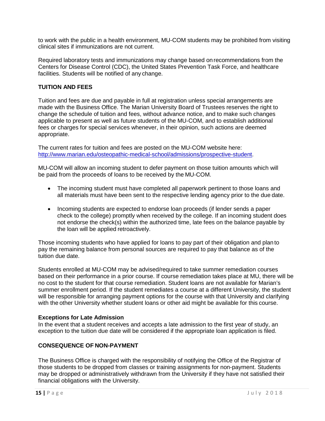to work with the public in a health environment, MU-COM students may be prohibited from visiting clinical sites if immunizations are not current.

Required laboratory tests and immunizations may change based on recommendations from the Centers for Disease Control (CDC), the United States Prevention Task Force, and healthcare facilities. Students will be notified of any change.

#### **TUITION AND FEES**

Tuition and fees are due and payable in full at registration unless special arrangements are made with the Business Office. The Marian University Board of Trustees reserves the right to change the schedule of tuition and fees, without advance notice, and to make such changes applicable to present as well as future students of the MU-COM, and to establish additional fees or charges for special services whenever, in their opinion, such actions are deemed appropriate.

The current rates for tuition and fees are posted on the MU-COM website here: [http://www.marian.edu/osteopathic-medical-school/admissions/prospective-student.](http://www.marian.edu/osteopathic-medical-school/admissions/prospective-student)

MU-COM will allow an incoming student to defer payment on those tuition amounts which will be paid from the proceeds of loans to be received by the MU-COM.

- The incoming student must have completed all paperwork pertinent to those loans and all materials must have been sent to the respective lending agency prior to the due date.
- Incoming students are expected to endorse loan proceeds (if lender sends a paper check to the college) promptly when received by the college. If an incoming student does not endorse the check(s) within the authorized time, late fees on the balance payable by the loan will be applied retroactively.

Those incoming students who have applied for loans to pay part of their obligation and plan to pay the remaining balance from personal sources are required to pay that balance as of the tuition due date.

Students enrolled at MU-COM may be advised/required to take summer remediation courses based on their performance in a prior course. If course remediation takes place at MU, there will be no cost to the student for that course remediation. Student loans are not available for Marian's summer enrollment period. If the student remediates a course at a different University, the student will be responsible for arranging payment options for the course with that University and clarifying with the other University whether student loans or other aid might be available for this course.

#### **Exceptions for Late Admission**

In the event that a student receives and accepts a late admission to the first year of study, an exception to the tuition due date will be considered if the appropriate loan application is filed.

#### **CONSEQUENCE OF NON-PAYMENT**

The Business Office is charged with the responsibility of notifying the Office of the Registrar of those students to be dropped from classes or training assignments for non-payment. Students may be dropped or administratively withdrawn from the University if they have not satisfied their financial obligations with the University.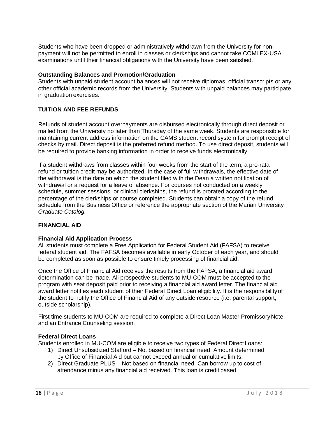Students who have been dropped or administratively withdrawn from the University for nonpayment will not be permitted to enroll in classes or clerkships and cannot take COMLEX-USA examinations until their financial obligations with the University have been satisfied.

#### **Outstanding Balances and Promotion/Graduation**

Students with unpaid student account balances will not receive diplomas, official transcripts or any other official academic records from the University. Students with unpaid balances may participate in graduation exercises.

#### **TUITION AND FEE REFUNDS**

Refunds of student account overpayments are disbursed electronically through direct deposit or mailed from the University no later than Thursday of the same week. Students are responsible for maintaining current address information on the CAMS student record system for prompt receipt of checks by mail. Direct deposit is the preferred refund method. To use direct deposit, students will be required to provide banking information in order to receive funds electronically.

If a student withdraws from classes within four weeks from the start of the term, a pro-rata refund or tuition credit may be authorized. In the case of full withdrawals, the effective date of the withdrawal is the date on which the student filed with the Dean a written notification of withdrawal or a request for a leave of absence. For courses not conducted on a weekly schedule, summer sessions, or clinical clerkships, the refund is prorated according to the percentage of the clerkships or course completed. Students can obtain a copy of the refund schedule from the Business Office or reference the appropriate section of the Marian University *Graduate Catalog.* 

#### <span id="page-16-0"></span>**FINANCIAL AID**

#### **Financial Aid Application Process**

All students must complete a Free Application for Federal Student Aid (FAFSA) to receive federal student aid. The FAFSA becomes available in early October of each year, and should be completed as soon as possible to ensure timely processing of financial aid.

Once the Office of Financial Aid receives the results from the FAFSA, a financial aid award determination can be made. All prospective students to MU-COM must be accepted to the program with seat deposit paid prior to receiving a financial aid award letter. The financial aid award letter notifies each student of their Federal Direct Loan eligibility. It is the responsibilityof the student to notify the Office of Financial Aid of any outside resource (i.e. parental support, outside scholarship).

First time students to MU-COM are required to complete a Direct Loan Master PromissoryNote, and an Entrance Counseling session.

#### <span id="page-16-1"></span>**Federal Direct Loans**

Students enrolled in MU-COM are eligible to receive two types of Federal Direct Loans:

- 1) Direct Unsubsidized Stafford Not based on financial need. Amount determined by Office of Financial Aid but cannot exceed annual or cumulative limits.
- 2) Direct Graduate PLUS Not based on financial need. Can borrow up to cost of attendance minus any financial aid received. This loan is credit based.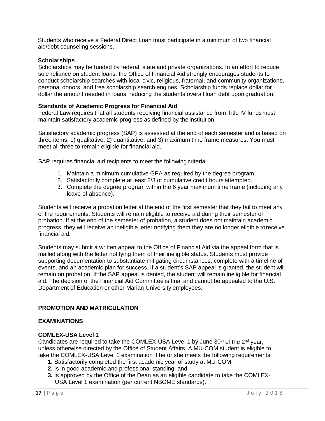Students who receive a Federal Direct Loan must participate in a minimum of two financial aid/debt counseling sessions.

#### <span id="page-17-0"></span>**Scholarships**

Scholarships may be funded by federal, state and private organizations. In an effort to reduce sole reliance on student loans, the Office of Financial Aid strongly encourages students to conduct scholarship searches with local civic, religious, fraternal, and community organizations, personal donors, and free scholarship search engines. Scholarship funds replace dollar for dollar the amount needed in loans, reducing the students overall loan debt upon graduation.

#### **Standards of Academic Progress for Financial Aid**

Federal Law requires that all students receiving financial assistance from Title IV fundsmust maintain satisfactory academic progress as defined by the institution.

Satisfactory academic progress (SAP) is assessed at the end of each semester and is based on three items: 1) qualitative, 2) quantitative, and 3) maximum time frame measures. You must meet all three to remain eligible for financial aid.

SAP requires financial aid recipients to meet the following criteria:

- 1. Maintain a minimum cumulative GPA as required by the degree program.
- 2. Satisfactorily complete at least 2/3 of cumulative credit hours attempted.
- 3. Complete the degree program within the 6 year maximum time frame (including any leave of absence).

Students will receive a probation letter at the end of the first semester that they fail to meet any of the requirements. Students will remain eligible to receive aid during their semester of probation. If at the end of the semester of probation, a student does not maintain academic progress, they will receive an ineligible letter notifying them they are no longer eligible toreceive financial aid.

Students may submit a written appeal to the Office of Financial Aid via the appeal form that is mailed along with the letter notifying them of their ineligible status. Students must provide supporting documentation to substantiate mitigating circumstances, complete with a timeline of events, and an academic plan for success. If a student's SAP appeal is granted, the student will remain on probation. If the SAP appeal is denied, the student will remain ineligible for financial aid. The decision of the Financial Aid Committee is final and cannot be appealed to the U.S. Department of Education or other Marian University employees.

#### **PROMOTION AND MATRICULATION**

#### **EXAMINATIONS**

#### **COMLEX-USA Level 1**

Candidates are required to take the COMLEX-USA Level 1 by June  $30<sup>th</sup>$  of the  $2<sup>nd</sup>$  year, unless otherwise directed by the Office of Student Affairs. A MU-COM student is eligible to take the COMLEX-USA Level 1 examination if he or she meets the following requirements:

- **1.** Satisfactorily completed the first academic year of study at MU-COM;
- **2.** Is in good academic and professional standing; and
- **3.** Is approved by the Office of the Dean as an eligible candidate to take the COMLEX-USA Level 1 examination (per current NBOME standards).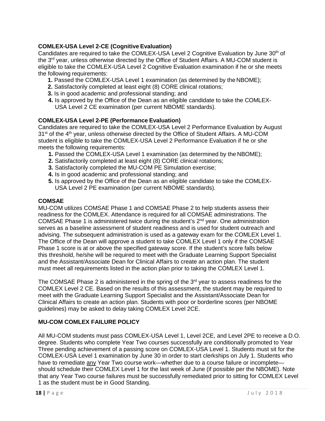#### **COMLEX-USA Level 2-CE (Cognitive Evaluation)**

Candidates are required to take the COMLEX-USA Level 2 Cognitive Evaluation by June 30<sup>th</sup> of the 3<sup>rd</sup> year, unless otherwise directed by the Office of Student Affairs. A MU-COM student is eligible to take the COMLEX-USA Level 2 Cognitive Evaluation examination if he or she meets the following requirements:

- **1.** Passed the COMLEX-USA Level 1 examination (as determined by the NBOME);
- **2.** Satisfactorily completed at least eight (8) CORE clinical rotations;
- **3.** Is in good academic and professional standing; and
- **4.** Is approved by the Office of the Dean as an eligible candidate to take the COMLEX-USA Level 2 CE examination (per current NBOME standards).

#### **COMLEX-USA Level 2-PE (Performance Evaluation)**

Candidates are required to take the COMLEX-USA Level 2 Performance Evaluation by August 31<sup>st</sup> of the 4<sup>th</sup> year, unless otherwise directed by the Office of Student Affairs. A MU-COM student is eligible to take the COMLEX-USA Level 2 Performance Evaluation if he or she meets the following requirements:

- **1.** Passed the COMLEX-USA Level 1 examination (as determined by the NBOME);
- **2.** Satisfactorily completed at least eight (8) CORE clinical rotations;
- **3.** Satisfactorily completed the MU-COM PE Simulation exercise;
- **4.** Is in good academic and professional standing; and
- **5.** Is approved by the Office of the Dean as an eligible candidate to take the COMLEX-USA Level 2 PE examination (per current NBOME standards).

#### **COMSAE**

MU-COM utilizes COMSAE Phase 1 and COMSAE Phase 2 to help students assess their readiness for the COMLEX. Attendance is required for all COMSAE administrations. The COMSAE Phase 1 is administered twice during the student's  $2<sup>nd</sup>$  year. One administration serves as a baseline assessment of student readiness and is used for student outreach and advising. The subsequent administration is used as a gateway exam for the COMLEX Level 1. The Office of the Dean will approve a student to take COMLEX Level 1 only if the COMSAE Phase 1 score is at or above the specified gateway score. If the student's score falls below this threshold, he/she will be required to meet with the Graduate Learning Support Specialist and the Assistant/Associate Dean for Clinical Affairs to create an action plan. The student must meet all requirements listed in the action plan prior to taking the COMLEX Level 1.

The COMSAE Phase 2 is administered in the spring of the  $3<sup>rd</sup>$  year to assess readiness for the COMLEX Level 2 CE. Based on the results of this assessment, the student may be required to meet with the Graduate Learning Support Specialist and the Assistant/Associate Dean for Clinical Affairs to create an action plan. Students with poor or borderline scores (per NBOME guidelines) may be asked to delay taking COMLEX Level 2CE.

#### **MU-COM COMLEX FAILURE POLICY**

All MU-COM students must pass COMLEX-USA Level 1, Level 2CE, and Level 2PE to receive a D.O. degree. Students who complete Year Two courses successfully are conditionally promoted to Year Three pending achievement of a passing score on COMLEX-USA Level 1. Students must sit for the COMLEX-USA Level 1 examination by June 30 in order to start clerkships on July 1. Students who have to remediate any Year Two course work—whether due to a course failure or incomplete should schedule their COMLEX Level 1 for the last week of June (if possible per the NBOME). Note that any Year Two course failures must be successfully remediated prior to sitting for COMLEX Level 1 as the student must be in Good Standing.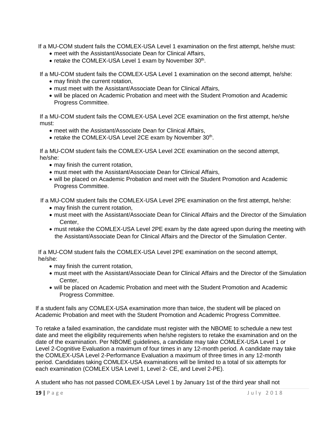If a MU-COM student fails the COMLEX-USA Level 1 examination on the first attempt, he/she must:

- meet with the Assistant/Associate Dean for Clinical Affairs,
- retake the COMLEX-USA Level 1 exam by November 30<sup>th</sup>.

If a MU-COM student fails the COMLEX-USA Level 1 examination on the second attempt, he/she:

- may finish the current rotation,
- must meet with the Assistant/Associate Dean for Clinical Affairs,
- will be placed on Academic Probation and meet with the Student Promotion and Academic Progress Committee.

If a MU-COM student fails the COMLEX-USA Level 2CE examination on the first attempt, he/she must:

- meet with the Assistant/Associate Dean for Clinical Affairs,
- retake the COMLEX-USA Level 2CE exam by November 30<sup>th</sup>.

If a MU-COM student fails the COMLEX-USA Level 2CE examination on the second attempt, he/she:

- may finish the current rotation,
- must meet with the Assistant/Associate Dean for Clinical Affairs,
- will be placed on Academic Probation and meet with the Student Promotion and Academic Progress Committee.

If a MU-COM student fails the COMLEX-USA Level 2PE examination on the first attempt, he/she:

- may finish the current rotation,
- must meet with the Assistant/Associate Dean for Clinical Affairs and the Director of the Simulation Center,
- must retake the COMLEX-USA Level 2PE exam by the date agreed upon during the meeting with the Assistant/Associate Dean for Clinical Affairs and the Director of the Simulation Center.

If a MU-COM student fails the COMLEX-USA Level 2PE examination on the second attempt, he/she:

- may finish the current rotation,
- must meet with the Assistant/Associate Dean for Clinical Affairs and the Director of the Simulation Center,
- will be placed on Academic Probation and meet with the Student Promotion and Academic Progress Committee.

If a student fails any COMLEX-USA examination more than twice, the student will be placed on Academic Probation and meet with the Student Promotion and Academic Progress Committee.

To retake a failed examination, the candidate must register with the NBOME to schedule a new test date and meet the eligibility requirements when he/she registers to retake the examination and on the date of the examination. Per NBOME guidelines, a candidate may take COMLEX-USA Level 1 or Level 2-Cognitive Evaluation a maximum of four times in any 12-month period. A candidate may take the COMLEX-USA Level 2-Performance Evaluation a maximum of three times in any 12-month period. Candidates taking COMLEX-USA examinations will be limited to a total of six attempts for each examination (COMLEX USA Level 1, Level 2- CE, and Level 2-PE).

A student who has not passed COMLEX-USA Level 1 by January 1st of the third year shall not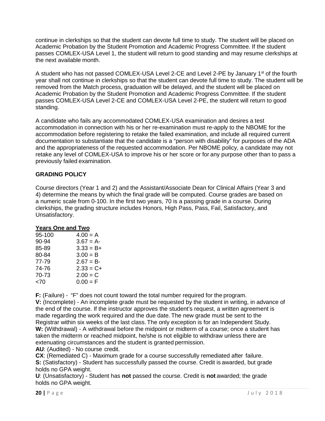continue in clerkships so that the student can devote full time to study. The student will be placed on Academic Probation by the Student Promotion and Academic Progress Committee. If the student passes COMLEX-USA Level 1, the student will return to good standing and may resume clerkships at the next available month.

A student who has not passed COMLEX-USA Level 2-CE and Level 2-PE by January 1<sup>st</sup> of the fourth year shall not continue in clerkships so that the student can devote full time to study. The student will be removed from the Match process, graduation will be delayed, and the student will be placed on Academic Probation by the Student Promotion and Academic Progress Committee. If the student passes COMLEX-USA Level 2-CE and COMLEX-USA Level 2-PE, the student will return to good standing.

A candidate who fails any accommodated COMLEX-USA examination and desires a test accommodation in connection with his or her re-examination must re-apply to the NBOME for the accommodation before registering to retake the failed examination, and include all required current documentation to substantiate that the candidate is a "person with disability" for purposes of the ADA and the appropriateness of the requested accommodation. Per NBOME policy, a candidate may not retake any level of COMLEX-USA to improve his or her score or for any purpose other than to pass a previously failed examination.

#### **GRADING POLICY**

Course directors (Year 1 and 2) and the Assistant/Associate Dean for Clinical Affairs (Year 3 and 4) determine the means by which the final grade will be computed. Course grades are based on a numeric scale from 0-100. In the first two years, 70 is a passing grade in a course. During clerkships, the grading structure includes Honors, High Pass, Pass, Fail, Satisfactory, and Unsatisfactory.

#### **Years One and Two**

| 95-100 | $4.00 = A$   |
|--------|--------------|
| 90-94  | $3.67 = A-$  |
| 85-89  | $3.33 = B +$ |
| 80-84  | $3.00 = B$   |
| 77-79  | $2.67 = B -$ |
| 74-76  | $2.33 = C +$ |
| 70-73  | $2.00 = C$   |
| <70    | $0.00 = F$   |
|        |              |

**F:** (Failure) - "F" does not count toward the total number required for the program.

**V:** (Incomplete) - An incomplete grade must be requested by the student in writing, in advance of the end of the course. If the instructor approves the student's request, a written agreement is made regarding the work required and the due date. The new grade must be sent to the Registrar within six weeks of the last class. The only exception is for an Independent Study. **W:** (Withdrawal) - A withdrawal before the midpoint or midterm of a course; once a student has taken the midterm or reached midpoint, he/she is not eligible to withdraw unless there are extenuating circumstances and the student is granted permission.

**AU**: (Audited) - No course credit.

**CX**: (Remediated C) - Maximum grade for a course successfully remediated after failure. **S:** (Satisfactory) - Student has successfully passed the course. Credit is awarded, but grade holds no GPA weight.

**U**: (Unsatisfactory) - Student has **not** passed the course. Credit is **not** awarded; the grade holds no GPA weight.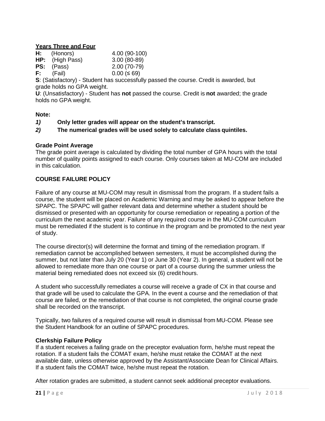#### **Years Three and Four**

| <b>H:</b> (Honors)     | 4.00 (90-100) |
|------------------------|---------------|
| <b>HP:</b> (High Pass) | $3.00(80-89)$ |
| <b>PS:</b> (Pass)      | $2.00(70-79)$ |
| $F:$ (Fail)            | $0.00 \le 69$ |

**S**: (Satisfactory) - Student has successfully passed the course. Credit is awarded, but grade holds no GPA weight.

**U**: (Unsatisfactory) - Student has **not** passed the course. Credit is **not** awarded; the grade holds no GPA weight.

#### **Note:**

*1)* **Only letter grades will appear on the student's transcript.**

*2)* **The numerical grades will be used solely to calculate class quintiles.**

#### **Grade Point Average**

The grade point average is calculated by dividing the total number of GPA hours with the total number of quality points assigned to each course. Only courses taken at MU-COM are included in this calculation.

#### <span id="page-21-0"></span>**COURSE FAILURE POLICY**

Failure of any course at MU-COM may result in dismissal from the program. If a student fails a course, the student will be placed on Academic Warning and may be asked to appear before the SPAPC. The SPAPC will gather relevant data and determine whether a student should be dismissed or presented with an opportunity for course remediation or repeating a portion of the curriculum the next academic year. Failure of any required course in the MU-COM curriculum must be remediated if the student is to continue in the program and be promoted to the next year of study.

The course director(s) will determine the format and timing of the remediation program. If remediation cannot be accomplished between semesters, it must be accomplished during the summer, but not later than July 20 (Year 1) or June 30 (Year 2). In general, a student will not be allowed to remediate more than one course or part of a course during the summer unless the material being remediated does not exceed six (6) credit hours.

A student who successfully remediates a course will receive a grade of CX in that course and that grade will be used to calculate the GPA. In the event a course and the remediation of that course are failed, or the remediation of that course is not completed, the original course grade shall be recorded on the transcript.

Typically, two failures of a required course will result in dismissal from MU-COM. Please see the Student Handbook for an outline of SPAPC procedures.

#### **Clerkship Failure Policy**

If a student receives a failing grade on the preceptor evaluation form, he/she must repeat the rotation. If a student fails the COMAT exam, he/she must retake the COMAT at the next available date, unless otherwise approved by the Assistant/Associate Dean for Clinical Affairs. If a student fails the COMAT twice, he/she must repeat the rotation.

After rotation grades are submitted, a student cannot seek additional preceptor evaluations.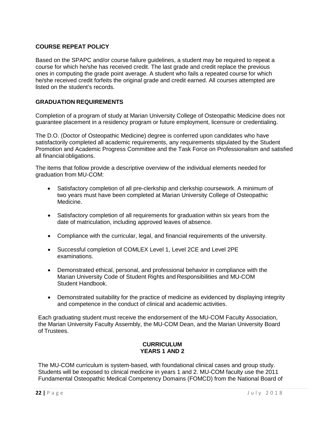#### **COURSE REPEAT POLICY**

Based on the SPAPC and/or course failure guidelines, a student may be required to repeat a course for which he/she has received credit. The last grade and credit replace the previous ones in computing the grade point average. A student who fails a repeated course for which he/she received credit forfeits the original grade and credit earned. All courses attempted are listed on the student's records.

#### <span id="page-22-0"></span>**GRADUATION REQUIREMENTS**

Completion of a program of study at Marian University College of Osteopathic Medicine does not guarantee placement in a residency program or future employment, licensure or credentialing.

The D.O. (Doctor of Osteopathic Medicine) degree is conferred upon candidates who have satisfactorily completed all academic requirements, any requirements stipulated by the Student Promotion and Academic Progress Committee and the Task Force on Professionalism and satisfied all financial obligations.

The items that follow provide a descriptive overview of the individual elements needed for graduation from MU-COM:

- Satisfactory completion of all pre-clerkship and clerkship coursework. A minimum of two years must have been completed at Marian University College of Osteopathic Medicine.
- Satisfactory completion of all requirements for graduation within six years from the date of matriculation, including approved leaves of absence.
- Compliance with the curricular, legal, and financial requirements of the university.
- Successful completion of COMLEX Level 1, Level 2CE and Level 2PE examinations.
- Demonstrated ethical, personal, and professional behavior in compliance with the Marian University Code of Student Rights and Responsibilities and MU-COM Student Handbook.
- Demonstrated suitability for the practice of medicine as evidenced by displaying integrity and competence in the conduct of clinical and academic activities.

Each graduating student must receive the endorsement of the MU-COM Faculty Association, the Marian University Faculty Assembly, the MU-COM Dean, and the Marian University Board of Trustees.

#### **CURRICULUM YEARS 1 AND 2**

The MU-COM curriculum is system-based, with foundational clinical cases and group study. Students will be exposed to clinical medicine in years 1 and 2. MU-COM faculty use the 2011 Fundamental Osteopathic Medical Competency Domains (FOMCD) from the National Board of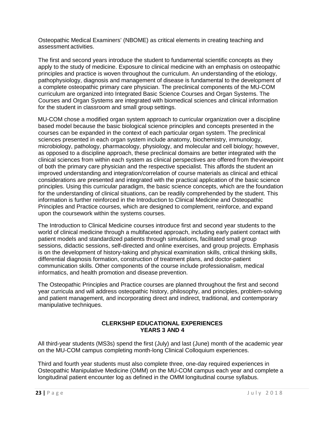Osteopathic Medical Examiners' (NBOME) as critical elements in creating teaching and assessment activities.

The first and second years introduce the student to fundamental scientific concepts as they apply to the study of medicine. Exposure to clinical medicine with an emphasis on osteopathic principles and practice is woven throughout the curriculum. An understanding of the etiology, pathophysiology, diagnosis and management of disease is fundamental to the development of a complete osteopathic primary care physician. The preclinical components of the MU-COM curriculum are organized into Integrated Basic Science Courses and Organ Systems. The Courses and Organ Systems are integrated with biomedical sciences and clinical information for the student in classroom and small group settings.

MU-COM chose a modified organ system approach to curricular organization over a discipline based model because the basic biological science principles and concepts presented in the courses can be expanded in the context of each particular organ system. The preclinical sciences presented in each organ system include anatomy, biochemistry, immunology, microbiology, pathology, pharmacology, physiology, and molecular and cell biology; however, as opposed to a discipline approach, these preclinical domains are better integrated with the clinical sciences from within each system as clinical perspectives are offered from theviewpoint of both the primary care physician and the respective specialist. This affords the student an improved understanding and integration/correlation of course materials as clinical and ethical considerations are presented and integrated with the practical application of the basic science principles. Using this curricular paradigm, the basic science concepts, which are the foundation for the understanding of clinical situations, can be readily comprehended by the student. This information is further reinforced in the Introduction to Clinical Medicine and Osteopathic Principles and Practice courses, which are designed to complement, reinforce, and expand upon the coursework within the systems courses.

The Introduction to Clinical Medicine courses introduce first and second year students to the world of clinical medicine through a multifaceted approach, including early patient contact with patient models and standardized patients through simulations, facilitated small group sessions, didactic sessions, self-directed and online exercises, and group projects. Emphasis is on the development of history-taking and physical examination skills, critical thinking skills, differential diagnosis formation, construction of treatment plans, and doctor-patient communication skills. Other components of the course include professionalism, medical informatics, and health promotion and disease prevention.

The Osteopathic Principles and Practice courses are planned throughout the first and second year curricula and will address osteopathic history, philosophy, and principles, problem-solving and patient management, and incorporating direct and indirect, traditional, and contemporary manipulative techniques.

#### **CLERKSHIP EDUCATIONAL EXPERIENCES YEARS 3 AND 4**

<span id="page-23-0"></span>All third-year students (MS3s) spend the first (July) and last (June) month of the academic year on the MU-COM campus completing month-long Clinical Colloquium experiences.

Third and fourth year students must also complete three, one-day required experiences in Osteopathic Manipulative Medicine (OMM) on the MU-COM campus each year and complete a longitudinal patient encounter log as defined in the OMM longitudinal course syllabus.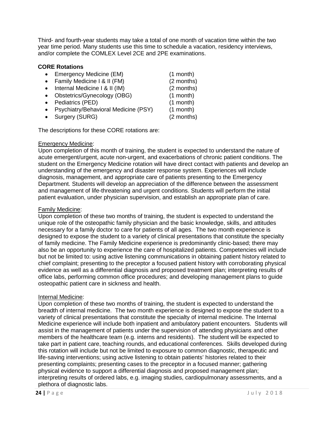Third- and fourth-year students may take a total of one month of vacation time within the two year time period. Many students use this time to schedule a vacation, residency interviews, and/or complete the COMLEX Level 2CE and 2PE examinations.

#### **CORE Rotations**

• Emergency Medicine (EM) (1 month) • Family Medicine I & II (FM) (2 months) • Internal Medicine I & II (IM) (2 months) • Obstetrics/Gynecology (OBG) (1 month) • Pediatrics (PED) (1 month) • Psychiatry/Behavioral Medicine (PSY) (1 month) • Surgery (SURG) (2 months)

The descriptions for these CORE rotations are:

#### Emergency Medicine:

Upon completion of this month of training, the student is expected to understand the nature of acute emergent/urgent, acute non-urgent, and exacerbations of chronic patient conditions. The student on the Emergency Medicine rotation will have direct contact with patients and develop an understanding of the emergency and disaster response system. Experiences will include diagnosis, management, and appropriate care of patients presenting to the Emergency Department. Students will develop an appreciation of the difference between the assessment and management of life-threatening and urgent conditions. Students will perform the initial patient evaluation, under physician supervision, and establish an appropriate plan of care.

#### Family Medicine:

Upon completion of these two months of training, the student is expected to understand the unique role of the osteopathic family physician and the basic knowledge, skills, and attitudes necessary for a family doctor to care for patients of all ages. The two month experience is designed to expose the student to a variety of clinical presentations that constitute the specialty of family medicine. The Family Medicine experience is predominantly clinic-based; there may also be an opportunity to experience the care of hospitalized patients. Competencies will include but not be limited to: using active listening communications in obtaining patient history related to chief complaint; presenting to the preceptor a focused patient history with corroborating physical evidence as well as a differential diagnosis and proposed treatment plan; interpreting results of office labs, performing common office procedures; and developing management plans to guide osteopathic patient care in sickness and health.

#### Internal Medicine:

Upon completion of these two months of training, the student is expected to understand the breadth of internal medicine. The two month experience is designed to expose the student to a variety of clinical presentations that constitute the specialty of internal medicine. The Internal Medicine experience will include both inpatient and ambulatory patient encounters. Students will assist in the management of patients under the supervision of attending physicians and other members of the healthcare team (e.g. interns and residents). The student will be expected to take part in patient care, teaching rounds, and educational conferences. Skills developed during this rotation will include but not be limited to exposure to common diagnostic, therapeutic and life-saving interventions; using active listening to obtain patients' histories related to their presenting complaints; presenting cases to the preceptor in a focused manner; gathering physical evidence to support a differential diagnosis and proposed management plan; interpreting results of ordered labs, e.g. imaging studies, cardiopulmonary assessments, and a plethora of diagnostic labs.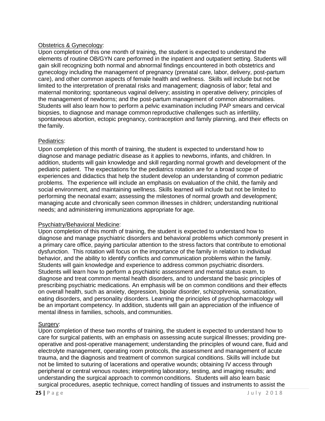#### Obstetrics & Gynecology:

Upon completion of this one month of training, the student is expected to understand the elements of routine OB/GYN care performed in the inpatient and outpatient setting. Students will gain skill recognizing both normal and abnormal findings encountered in both obstetrics and gynecology including the management of pregnancy (prenatal care, labor, delivery, post-partum care), and other common aspects of female health and wellness. Skills will include but not be limited to the interpretation of prenatal risks and management; diagnosis of labor; fetal and maternal monitoring; spontaneous vaginal delivery; assisting in operative delivery; principles of the management of newborns; and the post-partum management of common abnormalities. Students will also learn how to perform a pelvic examination including PAP smears and cervical biopsies, to diagnose and manage common reproductive challenges such as infertility, spontaneous abortion, ectopic pregnancy, contraception and family planning, and their effects on the family.

#### Pediatrics:

Upon completion of this month of training, the student is expected to understand how to diagnose and manage pediatric disease as it applies to newborns, infants, and children. In addition, students will gain knowledge and skill regarding normal growth and development of the pediatric patient. The expectations for the pediatrics rotation are for a broad scope of experiences and didactics that help the student develop an understanding of common pediatric problems. The experience will include an emphasis on evaluation of the child, the family and social environment, and maintaining wellness. Skills learned will include but not be limited to performing the neonatal exam; assessing the milestones of normal growth and development; managing acute and chronically seen common illnesses in children; understanding nutritional needs; and administering immunizations appropriate for age.

#### Psychiatry/Behavioral Medicine:

Upon completion of this month of training, the student is expected to understand how to diagnose and manage psychiatric disorders and behavioral problems which commonly present in a primary care office, paying particular attention to the stress factors that contribute to emotional dysfunction. This rotation will focus on the importance of the family in relation to individual behavior, and the ability to identify conflicts and communication problems within the family. Students will gain knowledge and experience to address common psychiatric disorders. Students will learn how to perform a psychiatric assessment and mental status exam, to diagnose and treat common mental health disorders, and to understand the basic principles of prescribing psychiatric medications. An emphasis will be on common conditions and their effects on overall health, such as anxiety, depression, bipolar disorder, schizophrenia, somatization, eating disorders, and personality disorders. Learning the principles of psychopharmacology will be an important competency. In addition, students will gain an appreciation of the influence of mental illness in families, schools, and communities.

#### Surgery:

Upon completion of these two months of training, the student is expected to understand how to care for surgical patients, with an emphasis on assessing acute surgical illnesses; providing preoperative and post-operative management; understanding the principles of wound care, fluid and electrolyte management, operating room protocols, the assessment and management of acute trauma, and the diagnosis and treatment of common surgical conditions. Skills will include but not be limited to suturing of lacerations and operative wounds; obtaining IV access through peripheral or central venous routes; interpreting laboratory, testing, and imaging results; and understanding the surgical approach to common conditions. Students will also learn basic surgical procedures, aseptic technique, correct handling of tissues and instruments to assist the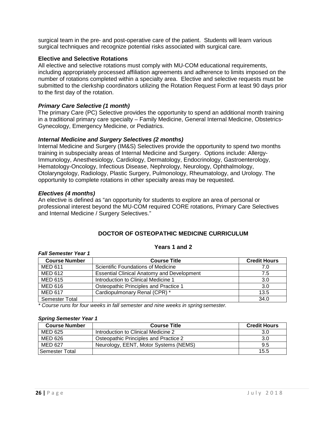surgical team in the pre- and post-operative care of the patient. Students will learn various surgical techniques and recognize potential risks associated with surgical care.

#### **Elective and Selective Rotations**

All elective and selective rotations must comply with MU-COM educational requirements, including appropriately processed affiliation agreements and adherence to limits imposed on the number of rotations completed within a specialty area. Elective and selective requests must be submitted to the clerkship coordinators utilizing the Rotation Request Form at least 90 days prior to the first day of the rotation.

#### *Primary Care Selective (1 month)*

The primary Care (PC) Selective provides the opportunity to spend an additional month training in a traditional primary care specialty – Family Medicine, General Internal Medicine, Obstetrics-Gynecology, Emergency Medicine, or Pediatrics.

#### *Internal Medicine and Surgery Selectives (2 months)*

Internal Medicine and Surgery (IM&S) Selectives provide the opportunity to spend two months training in subspecialty areas of Internal Medicine and Surgery. Options include: Allergy-Immunology, Anesthesiology, Cardiology, Dermatology, Endocrinology, Gastroenterology, Hematology-Oncology, Infectious Disease, Nephrology, Neurology, Ophthalmology, Otolaryngology, Radiology, Plastic Surgery, Pulmonology, Rheumatology, and Urology. The opportunity to complete rotations in other specialty areas may be requested.

#### *Electives (4 months)*

*Fall Semester Year 1*

An elective is defined as "an opportunity for students to explore an area of personal or professional interest beyond the MU-COM required CORE rotations, Primary Care Selectives and Internal Medicine / Surgery Selectives."

| <b>Course Number</b>  | <b>Course Title</b>                               | <b>Credit Hours</b> |
|-----------------------|---------------------------------------------------|---------------------|
| <b>MED 611</b>        | Scientific Foundations of Medicine                | 7.0                 |
| <b>MED 612</b>        | <b>Essential Clinical Anatomy and Development</b> | 7.5                 |
| <b>MED 615</b>        | Introduction to Clinical Medicine 1               | 3.0                 |
| <b>MED 616</b>        | Osteopathic Principles and Practice 1             | 3.0                 |
| <b>MED 617</b>        | Cardiopulmonary Renal (CPR) *                     | 13.5                |
| <b>Semester Total</b> |                                                   | 34.0                |

#### **DOCTOR OF OSTEOPATHIC MEDICINE CURRICULUM**

#### **Years 1 and 2**

*\* Course runs for four weeks in fall semester and nine weeks in spring semester.*

#### *Spring Semester Year 1*

| <b>Course Number</b> | <b>Course Title</b>                   | <b>Credit Hours</b> |
|----------------------|---------------------------------------|---------------------|
| MED 625              | Introduction to Clinical Medicine 2   | 3.0                 |
| MED 626              | Osteopathic Principles and Practice 2 | 3.0                 |
| MED 627              | Neurology, EENT, Motor Systems (NEMS) | 9.5                 |
| Semester Total       |                                       | 15.5                |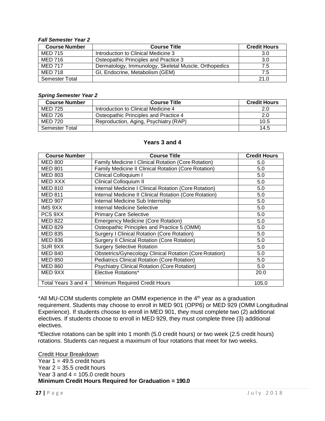#### *Fall Semester Year 2*

| <b>Course Number</b> | <b>Course Title</b>                                   | <b>Credit Hours</b> |
|----------------------|-------------------------------------------------------|---------------------|
| MED 715              | Introduction to Clinical Medicine 3                   | 3.0                 |
| MED 716              | Osteopathic Principles and Practice 3                 | 3.0                 |
| <b>MED 717</b>       | Dermatology, Immunology, Skeletal Muscle, Orthopedics | 7.5                 |
| <b>MED 718</b>       | GI, Endocrine, Metabolism (GEM)                       | 7.5                 |
| Semester Total       |                                                       | 21.0                |

#### *Spring Semester Year 2*

| <b>Course Number</b> | <b>Course Title</b>                   | <b>Credit Hours</b> |
|----------------------|---------------------------------------|---------------------|
| <b>MED 725</b>       | Introduction to Clinical Medicine 4   | 2.0                 |
| MED 726              | Osteopathic Principles and Practice 4 | 2.0                 |
| MED 720              | Reproduction, Aging, Psychiatry (RAP) | 10.5                |
| Semester Total       |                                       | 14.5                |

#### **Years 3 and 4**

| <b>Course Number</b> | <b>Course Title</b>                                            | <b>Credit Hours</b> |
|----------------------|----------------------------------------------------------------|---------------------|
| <b>MED 800</b>       | Family Medicine I Clinical Rotation (Core Rotation)            | 5.0                 |
| <b>MED 801</b>       | <b>Family Medicine II Clinical Rotation (Core Rotation)</b>    | 5.0                 |
| <b>MED 803</b>       | Clinical Colloquium I                                          | 5.0                 |
| MED XXX              | <b>Clinical Colloquium II</b>                                  | 5.0                 |
| <b>MED 810</b>       | Internal Medicine I Clinical Rotation (Core Rotation)          | 5.0                 |
| <b>MED 811</b>       | Internal Medicine II Clinical Rotation (Core Rotation)         | 5.0                 |
| <b>MED 907</b>       | Internal Medicine Sub Internship                               | 5.0                 |
| IMS 9XX              | <b>Internal Medicine Selective</b>                             | 5.0                 |
| PCS 9XX              | <b>Primary Care Selective</b>                                  | 5.0                 |
| <b>MED 822</b>       | <b>Emergency Medicine (Core Rotation)</b>                      | 5.0                 |
| <b>MED 829</b>       | Osteopathic Principles and Practice 5 (OMM)                    | 5.0                 |
| <b>MED 835</b>       | <b>Surgery I Clinical Rotation (Core Rotation)</b>             | 5.0                 |
| <b>MED 836</b>       | <b>Surgery II Clinical Rotation (Core Rotation)</b>            | 5.0                 |
| SUR 9XX              | <b>Surgery Selective Rotation</b>                              | 5.0                 |
| <b>MED 840</b>       | <b>Obstetrics/Gynecology Clinical Rotation (Core Rotation)</b> | 5.0                 |
| <b>MED 850</b>       | <b>Pediatrics Clinical Rotation (Core Rotation)</b>            | 5.0                 |
| <b>MED 860</b>       | <b>Psychiatry Clinical Rotation (Core Rotation)</b>            | 5.0                 |
| MED 9XX              | Elective Rotations*                                            | 20.0                |
| Total Years 3 and 4  | Minimum Required Credit Hours                                  | 105.0               |

 $*$ All MU-COM students complete an OMM experience in the  $4<sup>th</sup>$  year as a graduation requirement. Students may choose to enroll in MED 901 (OPP6) or MED 929 (OMM Longitudinal Experience). If students choose to enroll in MED 901, they must complete two (2) additional electives. If students choose to enroll in MED 929, they must complete three (3) additional electives.

\*Elective rotations can be split into 1 month (5.0 credit hours) or two week (2.5 credit hours) rotations. Students can request a maximum of four rotations that meet for two weeks.

<span id="page-27-0"></span>Credit Hour Breakdown Year  $1 = 49.5$  credit hours Year  $2 = 35.5$  credit hours Year 3 and  $4 = 105.0$  credit hours **Minimum Credit Hours Required for Graduation = 190.0**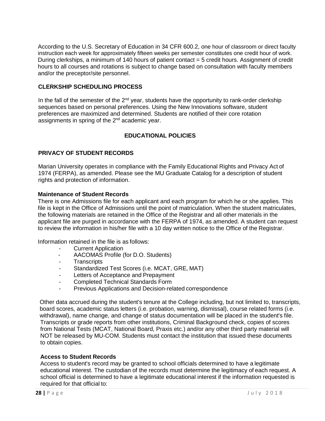According to the U.S. Secretary of Education in 34 CFR 600.2, one hour of classroom or direct faculty instruction each week for approximately fifteen weeks per semester constitutes one credit hour of work. During clerkships, a minimum of 140 hours of patient contact = 5 credit hours. Assignment of credit hours to all courses and rotations is subject to change based on consultation with faculty members and/or the preceptor/site personnel.

#### **CLERKSHIP SCHEDULING PROCESS**

In the fall of the semester of the 2<sup>nd</sup> year, students have the opportunity to rank-order clerkship sequences based on personal preferences. Using the New Innovations software, student preferences are maximized and determined. Students are notified of their core rotation assignments in spring of the 2<sup>nd</sup> academic year.

#### **EDUCATIONAL POLICIES**

#### **PRIVACY OF STUDENT RECORDS**

Marian University operates in compliance with the Family Educational Rights and Privacy Act of 1974 (FERPA), as amended. Please see the MU Graduate Catalog for a description of student rights and protection of information.

#### **Maintenance of Student Records**

There is one Admissions file for each applicant and each program for which he or she applies. This file is kept in the Office of Admissions until the point of matriculation. When the student matriculates, the following materials are retained in the Office of the Registrar and all other materials in the applicant file are purged in accordance with the FERPA of 1974, as amended. A student can request to review the information in his/her file with a 10 day written notice to the Office of the Registrar.

Information retained in the file is as follows:

- Current Application
- AACOMAS Profile (for D.O. Students)
- **Transcripts**
- Standardized Test Scores (i.e. MCAT, GRE, MAT)
- Letters of Acceptance and Prepayment
- Completed Technical Standards Form
- Previous Applications and Decision-related correspondence

Other data accrued during the student's tenure at the College including, but not limited to, transcripts, board scores, academic status letters (i.e. probation, warning, dismissal), course related forms (i.e. withdrawal), name change, and change of status documentation will be placed in the student's file. Transcripts or grade reports from other institutions, Criminal Background check, copies of scores from National Tests (MCAT, National Board, Praxis etc.) and/or any other third party material will NOT be released by MU-COM. Students must contact the institution that issued these documents to obtain copies.

#### **Access to Student Records**

Access to student's record may be granted to school officials determined to have a legitimate educational interest. The custodian of the records must determine the legitimacy of each request. A school official is determined to have a legitimate educational interest if the information requested is required for that official to: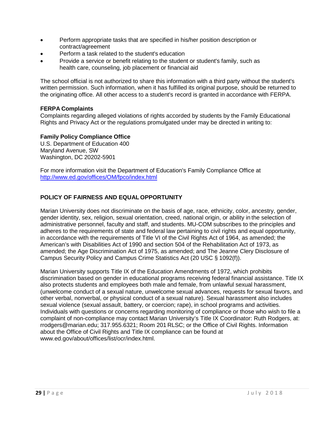- Perform appropriate tasks that are specified in his/her position description or contract/agreement
- Perform a task related to the student's education
- Provide a service or benefit relating to the student or student's family, such as health care, counseling, job placement or financial aid

The school official is not authorized to share this information with a third party without the student's written permission. Such information, when it has fulfilled its original purpose, should be returned to the originating office. All other access to a student's record is granted in accordance with FERPA.

#### **FERPA Complaints**

Complaints regarding alleged violations of rights accorded by students by the Family Educational Rights and Privacy Act or the regulations promulgated under may be directed in writing to:

#### **Family Policy Compliance Office**

U.S. Department of Education 400 Maryland Avenue, SW Washington, DC 20202-5901

<span id="page-29-0"></span>For more information visit the Department of Education's Family Compliance Office at <http://www.ed.gov/offices/OM/fpco/index.html>

#### **POLICY OF FAIRNESS AND EQUAL OPPORTUNITY**

Marian University does not discriminate on the basis of age, race, ethnicity, color, ancestry, gender, gender identity, sex, religion, sexual orientation, creed, national origin, or ability in the selection of administrative personnel, faculty and staff, and students. MU-COM subscribes to the principles and adheres to the requirements of state and federal law pertaining to civil rights and equal opportunity, in accordance with the requirements of Title VI of the Civil Rights Act of 1964, as amended; the American's with Disabilities Act of 1990 and section 504 of the Rehabilitation Act of 1973, as amended; the Age Discrimination Act of 1975, as amended; and The Jeanne Clery Disclosure of Campus Security Policy and Campus Crime Statistics Act (20 USC § 1092(f)).

Marian University supports Title IX of the Education Amendments of 1972, which prohibits discrimination based on gender in educational programs receiving federal financial assistance. Title IX also protects students and employees both male and female, from unlawful sexual harassment, (unwelcome conduct of a sexual nature, unwelcome sexual advances, requests for sexual favors, and other verbal, nonverbal, or physical conduct of a sexual nature). Sexual harassment also includes sexual violence (sexual assault, battery, or coercion; rape), in school programs and activities. Individuals with questions or concerns regarding monitoring of compliance or those who wish to file a complaint of non-compliance may contact Marian University's Title IX Coordinator: Ruth Rodgers, at: rrodgers@marian.edu; 317.955.6321; Room 201 RLSC; or the Office of Civil Rights. Information about the Office of Civil Rights and Title IX compliance can be found at [www.ed.gov/about/offices/list/ocr/index.html.](http://www.ed.gov/about/offices/list/ocr/index.html)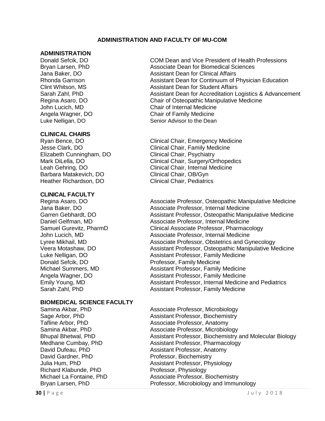#### **ADMINISTRATION AND FACULTY OF MU-COM**

#### **ADMINISTRATION**

### **CLINICAL CHAIRS**

Elizabeth Cunningham, DO Clinical Chair, Psychiatry<br>
Mark DiLella, DO Clinical Chair, Surgery/Or Barbara Matakevich, DO Clinical Chair, OB/Gyn Heather Richardson, DO Clinical Chair, Pediatrics

### **CLINICAL FACULTY**

#### **BIOMEDICAL SCIENCE FACULTY**

David Gardner, PhD<br>
Julia Hum. PhD<br>
Assistant Professor. Phy Richard Klabunde, PhD Professor, Physiology

Donald Sefcik, DO COM Dean and Vice President of Health Professions Bryan Larsen, PhD **Associate Dean for Biomedical Sciences**<br>
Jana Baker, DO **Assistant Dean for Clinical Affairs** Assistant Dean for Clinical Affairs Rhonda Garrison **Assistant Dean for Continuum of Physician Education** Clint Whitson, MS and Assistant Dean for Student Affairs Sarah Zahl, PhD<br>
Regina Asaro, DO **Assistant Dean for Accreditation Logistics & Advancement**<br>
Chair of Osteopathic Manipulative Medicine Regina Asaro, DO **Chair of Osteopathic Manipulative Medicine**<br>
John Lucich, MD Chair of Internal Medicine Chair of Internal Medicine Angela Wagner, DO Chair of Family Medicine Luke Nelligan, DO Senior Advisor to the Dean

Clinical Chair, Emergency Medicine Jesse Clark, DO Clinical Chair, Family Medicine Clinical Chair, Surgery/Orthopedics Leah Gehring, DO Clinical Chair, Internal Medicine

Regina Asaro, DO **Associate Professor, Osteopathic Manipulative Medicine**<br>Jana Baker, DO **Associate Professor, Internal Medicine** Associate Professor, Internal Medicine Garren Gebhardt, DO **Assistant Professor, Osteopathic Manipulative Medicine** Daniel Gelfman, MD Associate Professor, Internal Medicine Samuel Gurevitz, PharmD Clinical Associate Professor, Pharmacology John Lucich, MD Associate Professor, Internal Medicine Lyree Mikhail, MD Associate Professor, Obstetrics and Gynecology Veera Motashaw, DO **Assistant Professor, Osteopathic Manipulative Medicine** Veera Luke Nelligan, DO<br>
Donald Sefcik. DO 
Assistant Professor, Family Medicine<br>
Professor, Family Medicine Donald Sefcik, DO<br>
Michael Summers, MD<br>
Assistant Professor, Family Medicine Assistant Professor, Family Medicine Angela Wagner, DO **Assistant Professor, Family Medicine**<br>
Emily Young, MD **Assistant Professor, Internal Medicine** Assistant Professor, Internal Medicine and Pediatrics Sarah Zahl, PhD Assistant Professor, Family Medicine

Samina Akbar, PhD Associate Professor, Microbiology Sage Arbor, PhD Assistant Professor, Biochemistry Tafline Arbor, PhD **Associate Professor, Anatomy** Samina Akbar, PhD<br>Bhupal Bhetwal, PhD **Assistant Professor, Biochemistry** Bhupal Bhetwal, PhD<br>
Assistant Professor, Biochemistry and Molecular Biology<br>
Medhane Cumbay. PhD<br>
Assistant Professor. Pharmacology Medhane Cumbay, PhD<br>
David Dufeau. PhD<br>
Assistant Professor. Anatomy<br>
Assistant Professor. Anatomy Assistant Professor, Anatomy Assistant Professor, Physiology Michael La Fontaine, PhD Associate Professor, Biochemistry Bryan Larsen, PhD Professor, Microbiology and Immunology